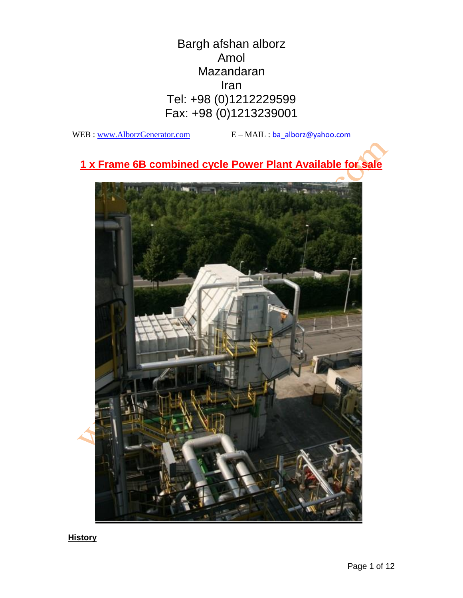Bargh afshan alborz Amol Mazandaran Iran Tel: +98 (0)1212229599 Fax: +98 (0)1213239001

WEB : [www.AlborzGenerator.com](http://www.alborzgenerator.com/)  $E - M A I L$  : ba\_alborz@yahoo.com

**1 x Frame 6B combined cycle Power Plant Available for sale**



**History**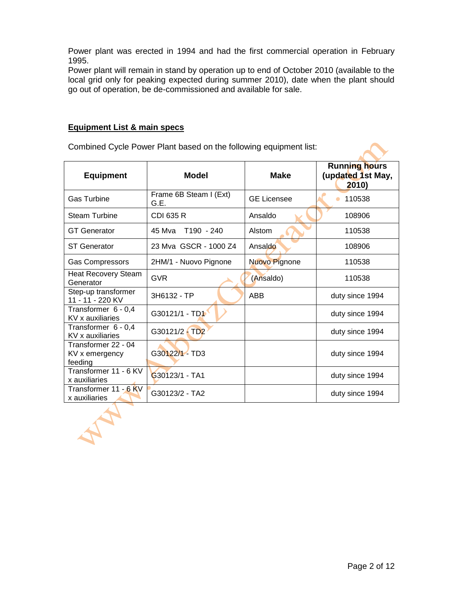Power plant was erected in 1994 and had the first commercial operation in February 1995.

Power plant will remain in stand by operation up to end of October 2010 (available to the local grid only for peaking expected during summer 2010), date when the plant should go out of operation, be de-commissioned and available for sale.

## **Equipment List & main specs**

AN

Combined Cycle Power Plant based on the following equipment list:

| <b>Equipment</b>                                 | <b>Model</b>                     | <b>Make</b>        | Running hours<br>(updated 1st May,<br>2010 |
|--------------------------------------------------|----------------------------------|--------------------|--------------------------------------------|
| <b>Gas Turbine</b>                               | Frame 6B Steam I (Ext)<br>G.E.   | <b>GE Licensee</b> | 110538                                     |
| <b>Steam Turbine</b>                             | <b>CDI 635 R</b>                 | Ansaldo            | 108906                                     |
| <b>GT</b> Generator                              | 45 Mva<br>T <sub>190</sub> - 240 | Alstom             | 110538                                     |
| <b>ST</b> Generator                              | 23 Mva GSCR - 1000 Z4            | Ansaldo            | 108906                                     |
| <b>Gas Compressors</b>                           | 2HM/1 - Nuovo Pignone            | Nuovo Pignone      | 110538                                     |
| <b>Heat Recovery Steam</b><br>Generator          | <b>GVR</b>                       | (Ansaldo)          | 110538                                     |
| Step-up transformer<br>11 - 11 - 220 KV          | 3H6132 - TP                      | <b>ABB</b>         | duty since 1994                            |
| Transformer 6 - 0,4<br>KV x auxiliaries          | G30121/1 - TD1                   |                    | duty since 1994                            |
| Transformer 6 - 0,4<br>KV x auxiliaries          | G30121/2 TD2                     |                    | duty since 1994                            |
| Transformer 22 - 04<br>KV x emergency<br>feeding | G30122/1 - TD3                   |                    | duty since 1994                            |
| Transformer 11 - 6 KV<br>x auxiliaries           | G30123/1 - TA1                   |                    | duty since 1994                            |
| Transformer 11 - 6 KV<br>x auxiliaries           | G30123/2 - TA2                   |                    | duty since 1994                            |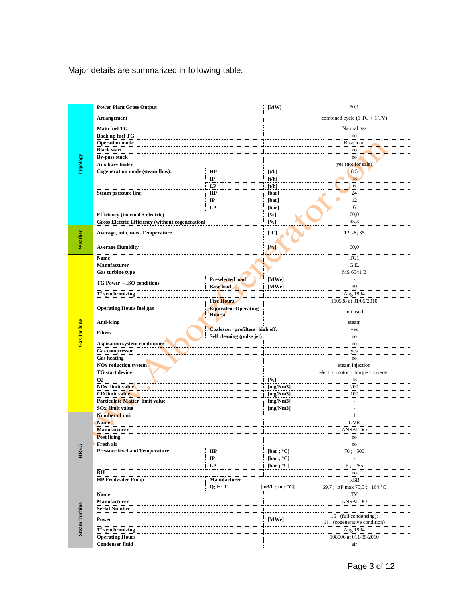Major details are summarized in following table:

|                      | <b>Power Plant Gross Output</b>                          |                                       | [MW]                 | 50,1                                                 |
|----------------------|----------------------------------------------------------|---------------------------------------|----------------------|------------------------------------------------------|
| <b>Typology</b>      | <b>Arrangement</b>                                       |                                       |                      | combined cycle $(1 TG + 1 TV)$                       |
|                      |                                                          |                                       |                      |                                                      |
|                      | <b>Main fuel TG</b>                                      |                                       |                      | Natural gas<br>$\mathbf{n}$ o                        |
|                      | Back up fuel TG<br><b>Operation</b> mode                 |                                       |                      | Base load                                            |
|                      | <b>Black start</b>                                       |                                       |                      | no                                                   |
|                      | <b>By-pass stack</b>                                     |                                       |                      | no                                                   |
|                      | <b>Auxiliary boiler</b>                                  |                                       |                      | yes (not for sale)                                   |
|                      | Cogeneration mode (steam flow):                          | HP                                    | [t/h]                | 8,5                                                  |
|                      |                                                          | $\bf IP$                              | [t/h]                | 13                                                   |
|                      |                                                          | LP                                    | [t/h]                | 6                                                    |
|                      | <b>Steam pressure line:</b>                              | HP                                    | [bar]                | 24                                                   |
|                      |                                                          | $_{\rm IP}$                           | [bar]                | 12                                                   |
|                      |                                                          | LP                                    | [bar]                | 6                                                    |
|                      | Efficiency (thermal + electric)                          |                                       | [%]                  | 60,0                                                 |
|                      | <b>Gross Electric Efficiency (without cogeneration)</b>  |                                       | [%]                  | 45,3                                                 |
| Weather              | Average, min, max Temperature                            |                                       | [°C]                 | $12; -8; 35$                                         |
|                      | <b>Average Humidity</b>                                  |                                       | [%]                  | 60,0                                                 |
|                      | Name                                                     |                                       |                      | TG1                                                  |
|                      | Manufacturer                                             |                                       |                      | G.E.                                                 |
|                      | Gas turbine type                                         |                                       |                      | MS 6541 B                                            |
|                      | <b>TG Power - ISO conditions</b>                         | <b>Preselected load</b>               | [MWe]                | $\sim$                                               |
|                      |                                                          | <b>Base</b> load                      | [MWe]                | 39                                                   |
|                      | $1st$ synchronizing                                      | <b>Fire Hours:</b>                    |                      | Aug 1994<br>110538 at 01/05/2010                     |
|                      | <b>Operating Hours fuel gas</b>                          | <b>Equivalent Operating</b><br>Hours: |                      | not used                                             |
|                      | Anti-icing                                               |                                       |                      | steam                                                |
|                      | Coalescer+prefilters+high eff.                           |                                       |                      | yes                                                  |
|                      | <b>Filters</b><br>Self cleaning (pulse jet)              |                                       |                      |                                                      |
|                      |                                                          |                                       |                      | no                                                   |
| <b>Gas Turbine</b>   | Aspiration system conditioner                            |                                       |                      | no                                                   |
|                      | <b>Gas compressor</b>                                    |                                       |                      | yes                                                  |
|                      | <b>Gas heating</b>                                       |                                       |                      | no                                                   |
|                      | <b>NOx reduction system</b>                              |                                       |                      | steam injection                                      |
|                      | TG start device                                          |                                       |                      | $electric motor + torque converter$                  |
|                      | <b>O2</b>                                                |                                       | [%]                  | 15                                                   |
|                      | <b>NOx limit value</b>                                   |                                       | [mg/Nm3]             | 200                                                  |
|                      | <b>CO</b> limit value                                    |                                       | [mg/Nm3]             | 100                                                  |
|                      | Particulate Matter limit value<br><b>SOx</b> limit value |                                       | [mg/Nm3]             | $\sim$<br>$\overline{\phantom{a}}$                   |
|                      | Number of unit                                           |                                       | [ $mg/Nm3$ ]         | $\mathbf{1}$                                         |
|                      | <b>Name</b>                                              |                                       |                      | <b>GVR</b>                                           |
|                      | <b>Manufacturer</b>                                      |                                       |                      | <b>ANSALDO</b>                                       |
|                      | <b>Post firing</b>                                       |                                       |                      | no                                                   |
|                      | Fresh air                                                |                                       |                      | $\mathop{\mathrm{no}}$                               |
|                      | <b>Pressure level and Temperature</b>                    | HP                                    | [bar ; $^{\circ}$ C] | 70; 500                                              |
| <b>HRSG</b>          |                                                          | $_{\rm IP}$                           | [bar ; $^{\circ}$ C] |                                                      |
|                      |                                                          | LP                                    | [bar ; $^{\circ}$ C] | 6:285                                                |
|                      | $R$ H                                                    |                                       |                      | $\rm{no}$                                            |
|                      | <b>HP Feedwater Pump</b>                                 | Manufacturer                          |                      | <b>KSB</b>                                           |
|                      |                                                          | Q; H; T                               | [m3/h; m; °C]        | 69,7; ΔP max 75,5; 164 °C                            |
|                      | Name                                                     |                                       |                      | TV                                                   |
|                      | Manufacturer                                             |                                       |                      | ANSALDO                                              |
|                      | <b>Serial Number</b><br>Power                            |                                       | [MWe]                | 15 (full condensing);<br>11 (cogenerative condition) |
|                      | $1st$ synchronizing                                      |                                       |                      | Aug 1994                                             |
| <b>Steam Turbine</b> | <b>Operating Hours</b>                                   |                                       |                      | 108906 at 011/05/2010                                |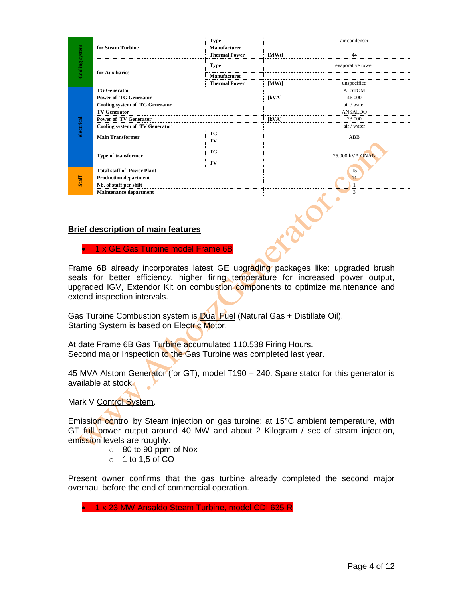| Cooling system<br>electrical<br><b>Staff</b> |                                           |                      |       | air condenser     |  |
|----------------------------------------------|-------------------------------------------|----------------------|-------|-------------------|--|
|                                              | for Steam Turbine                         | <b>Type</b>          |       |                   |  |
|                                              |                                           | <b>Manufacturer</b>  |       |                   |  |
|                                              |                                           | <b>Thermal Power</b> | [MWt] | 44                |  |
|                                              | for Auxiliaries                           | <b>Type</b>          |       | evaporative tower |  |
|                                              |                                           | Manufacturer         |       |                   |  |
|                                              |                                           | <b>Thermal Power</b> | [MWt] | unspecified       |  |
|                                              | <b>TG Generator</b>                       |                      |       | <b>ALSTOM</b>     |  |
|                                              | <b>Power of TG Generator</b>              |                      | [kVA] | 46.000            |  |
|                                              | Cooling system of TG Generator            |                      |       | air / water       |  |
|                                              | <b>TV Generator</b>                       |                      |       | <b>ANSALDO</b>    |  |
|                                              | <b>Power of TV Generator</b>              |                      | [kVA] | 23.000            |  |
|                                              | Cooling system of TV Generator            |                      |       | air / water       |  |
|                                              | <b>Main Transformer</b>                   | <b>TG</b>            |       | ABB               |  |
|                                              |                                           | TV                   |       |                   |  |
|                                              | Type of transformer                       | <b>TG</b>            |       | 75,000 kVA ONAN   |  |
|                                              |                                           | TV                   |       |                   |  |
|                                              | <b>Total staff of Power Plant</b>         |                      |       | 15                |  |
|                                              | <b>Production department</b>              |                      |       | 11                |  |
|                                              | Nb. of staff per shift                    |                      |       | 1                 |  |
|                                              | <b>Maintenance department</b>             |                      |       | 3                 |  |
|                                              | <b>Brief description of main features</b> |                      |       |                   |  |

## **Brief description of main features**

**1 x GE Gas Turbine model Frame 6B** 

Frame 6B already incorporates latest GE upgrading packages like: upgraded brush seals for better efficiency, higher firing temperature for increased power output, upgraded IGV, Extendor Kit on combustion components to optimize maintenance and extend inspection intervals.

Gas Turbine Combustion system is Dual Fuel (Natural Gas + Distillate Oil). Starting System is based on Electric Motor.

At date Frame 6B Gas Turbine accumulated 110.538 Firing Hours. Second major Inspection to the Gas Turbine was completed last year.

45 MVA Alstom Generator (for GT), model T190 – 240. Spare stator for this generator is available at stock.

Mark V Control System.

Emission control by Steam injection on gas turbine: at 15°C ambient temperature, with GT full power output around 40 MW and about 2 Kilogram / sec of steam injection, emission levels are roughly:

- o 80 to 90 ppm of Nox
- $\circ$  1 to 1,5 of CO

Present owner confirms that the gas turbine already completed the second major overhaul before the end of commercial operation.

• 1 x 23 MW Ansaldo Steam Turbine, model CDI 635 R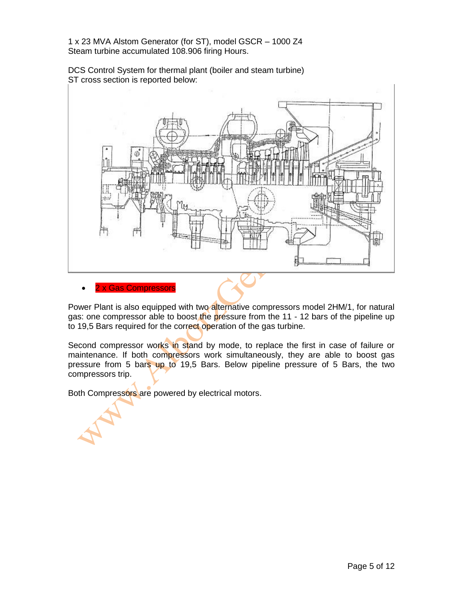1 x 23 MVA Alstom Generator (for ST), model GSCR – 1000 Z4 Steam turbine accumulated 108.906 firing Hours.

DCS Control System for thermal plant (boiler and steam turbine) ST cross section is reported below:



Power Plant is also equipped with two alternative compressors model 2HM/1, for natural gas: one compressor able to boost the pressure from the 11 - 12 bars of the pipeline up to 19,5 Bars required for the correct operation of the gas turbine.

Second compressor works in stand by mode, to replace the first in case of failure or maintenance. If both compressors work simultaneously, they are able to boost gas pressure from 5 bars up to 19,5 Bars. Below pipeline pressure of 5 Bars, the two compressors trip.

Both Compressors are powered by electrical motors.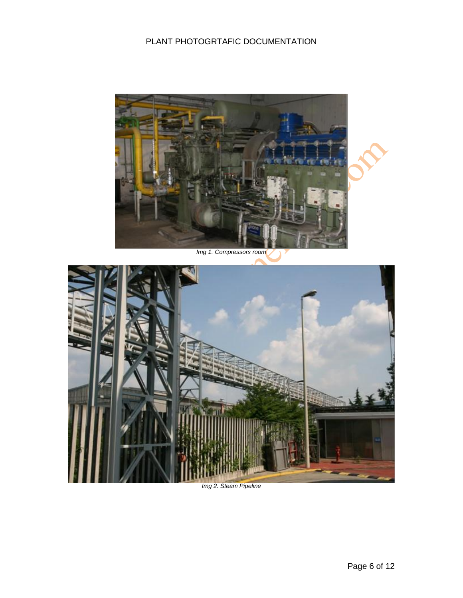# PLANT PHOTOGRTAFIC DOCUMENTATION



*Img 1. Compressors room*



*Img 2. Steam Pipeline*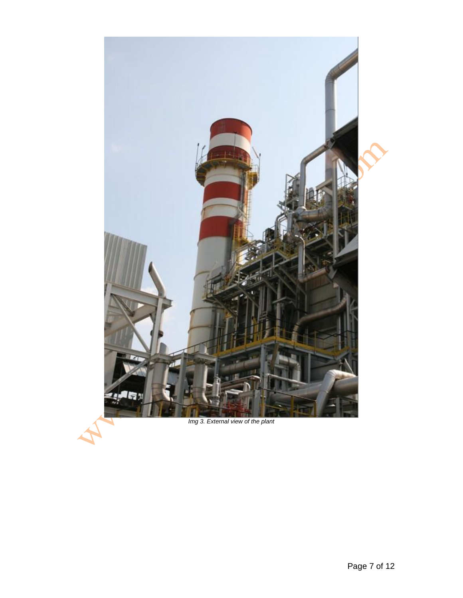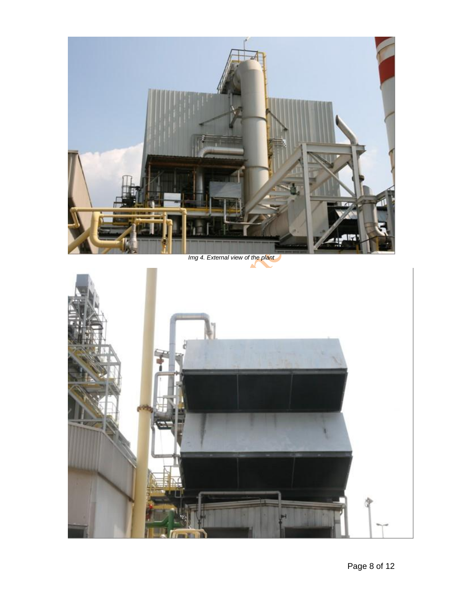

*Img 4. External view of the plant*

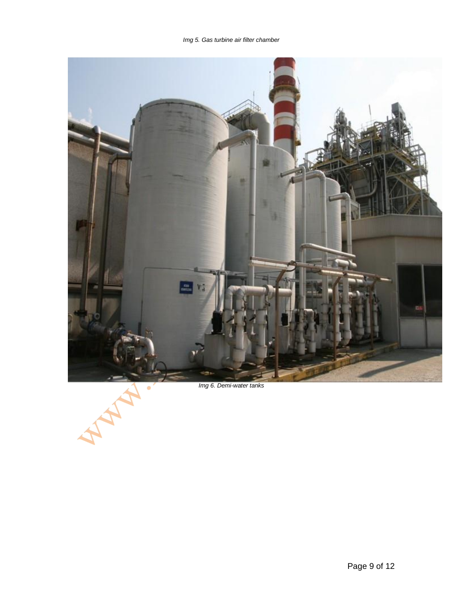*Img 5. Gas turbine air filter chamber*



*Img 6. Demi-water tanks*

LA.

AN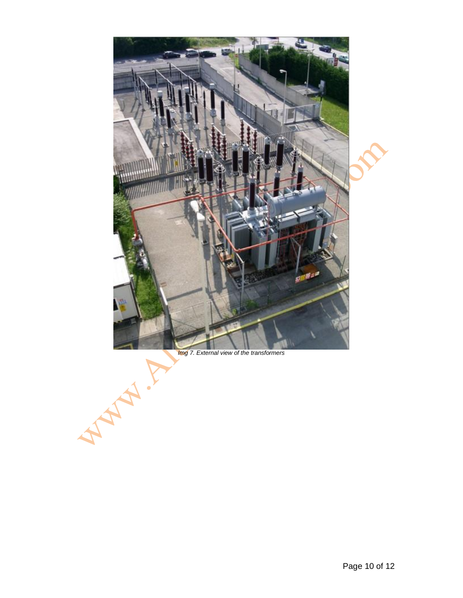

## *Img 7. External view of the transformers*

A MAIN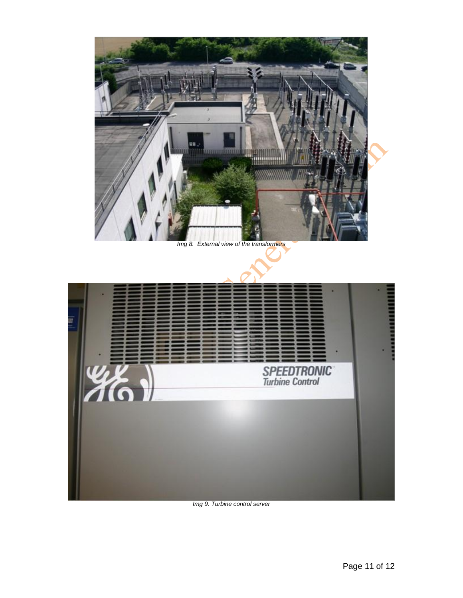



#### *Img 9. Turbine control server*